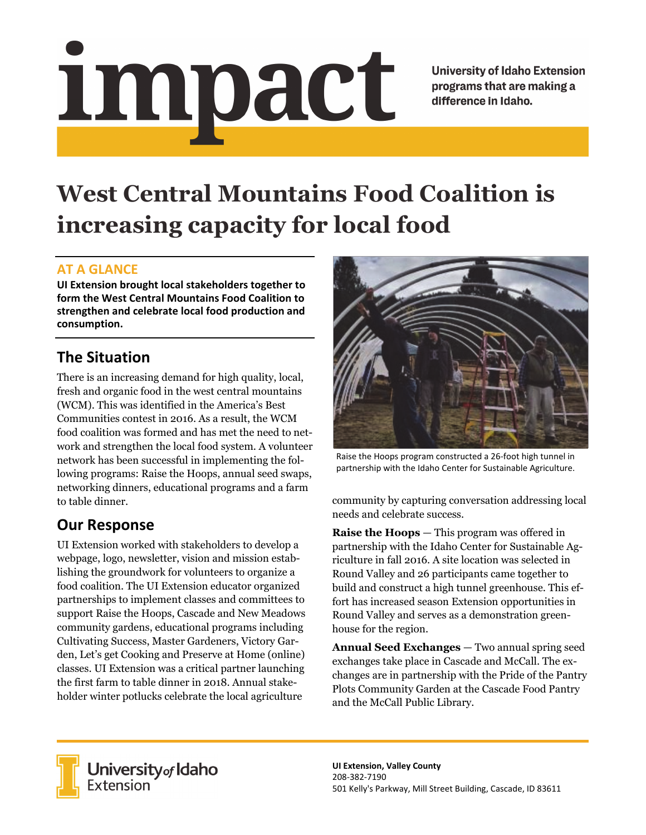# impact

**University of Idaho Extension** programs that are making a difference in Idaho.

# **West Central Mountains Food Coalition is increasing capacity for local food**

#### **AT A GLANCE**

**UI Extension brought local stakeholders together to form the West Central Mountains Food Coalition to strengthen and celebrate local food production and consumption.**

## **The Situation**

There is an increasing demand for high quality, local, fresh and organic food in the west central mountains (WCM). This was identified in the America's Best Communities contest in 2016. As a result, the WCM food coalition was formed and has met the need to network and strengthen the local food system. A volunteer network has been successful in implementing the following programs: Raise the Hoops, annual seed swaps, networking dinners, educational programs and a farm to table dinner.

### **Our Response**

UI Extension worked with stakeholders to develop a webpage, logo, newsletter, vision and mission establishing the groundwork for volunteers to organize a food coalition. The UI Extension educator organized partnerships to implement classes and committees to support Raise the Hoops, Cascade and New Meadows community gardens, educational programs including Cultivating Success, Master Gardeners, Victory Garden, Let's get Cooking and Preserve at Home (online) classes. UI Extension was a critical partner launching the first farm to table dinner in 2018. Annual stakeholder winter potlucks celebrate the local agriculture



Raise the Hoops program constructed a 26‐foot high tunnel in partnership with the Idaho Center for Sustainable Agriculture.

community by capturing conversation addressing local needs and celebrate success.

**Raise the Hoops** — This program was offered in partnership with the Idaho Center for Sustainable Agriculture in fall 2016. A site location was selected in Round Valley and 26 participants came together to build and construct a high tunnel greenhouse. This effort has increased season Extension opportunities in Round Valley and serves as a demonstration greenhouse for the region.

**Annual Seed Exchanges** — Two annual spring seed exchanges take place in Cascade and McCall. The exchanges are in partnership with the Pride of the Pantry Plots Community Garden at the Cascade Food Pantry and the McCall Public Library.



**University** of Idaho<br>Extension

**UI Extension, Valley County** 208‐382‐7190 501 Kelly's Parkway, Mill Street Building, Cascade, ID 83611